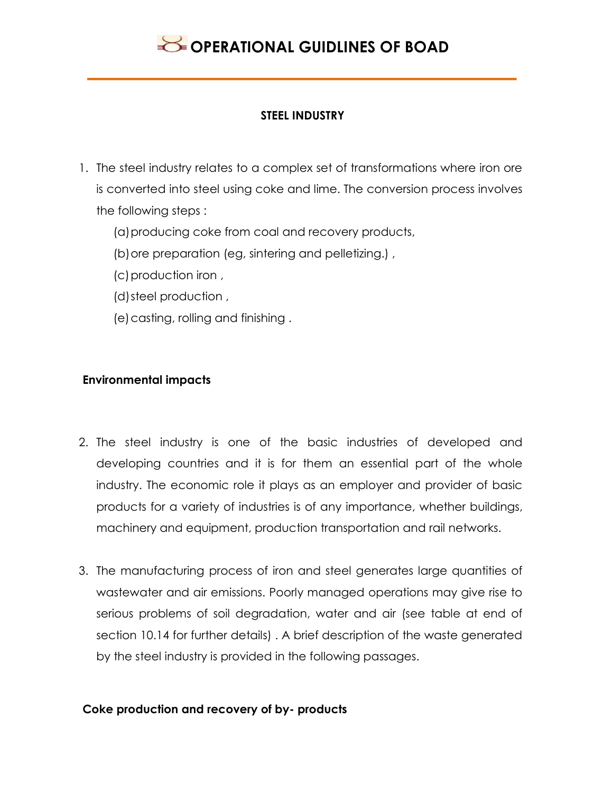

#### **STEEL INDUSTRY**

- 1. The steel industry relates to a complex set of transformations where iron ore is converted into steel using coke and lime. The conversion process involves the following steps :
	- (a)producing coke from coal and recovery products,
	- (b) ore preparation (eg, sintering and pelletizing.),
	- (c)production iron ,
	- (d)steel production ,
	- (e)casting, rolling and finishing .

#### **Environmental impacts**

- 2. The steel industry is one of the basic industries of developed and developing countries and it is for them an essential part of the whole industry. The economic role it plays as an employer and provider of basic products for a variety of industries is of any importance, whether buildings, machinery and equipment, production transportation and rail networks.
- 3. The manufacturing process of iron and steel generates large quantities of wastewater and air emissions. Poorly managed operations may give rise to serious problems of soil degradation, water and air (see table at end of section 10.14 for further details) . A brief description of the waste generated by the steel industry is provided in the following passages.

#### **Coke production and recovery of by- products**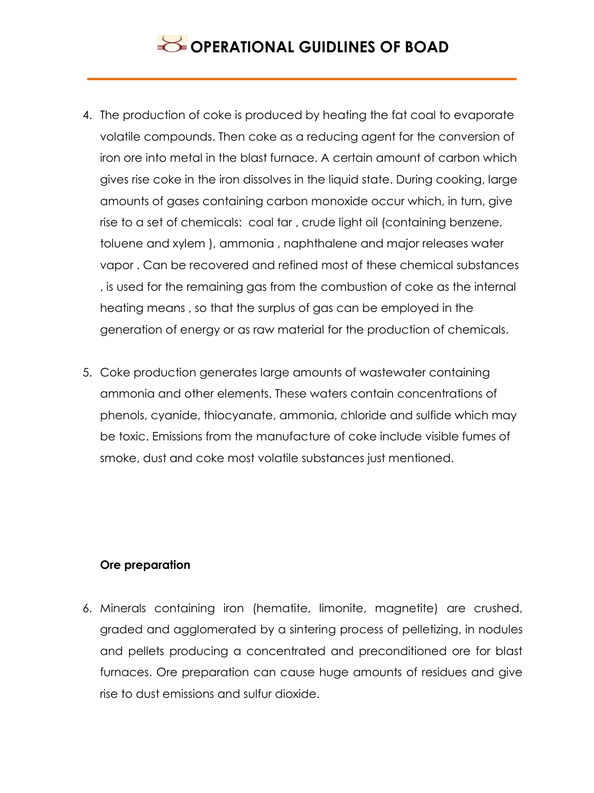- 4. The production of coke is produced by heating the fat coal to evaporate volatile compounds. Then coke as a reducing agent for the conversion of iron ore into metal in the blast furnace. A certain amount of carbon which gives rise coke in the iron dissolves in the liquid state. During cooking, large amounts of gases containing carbon monoxide occur which, in turn, give rise to a set of chemicals: coal tar , crude light oil (containing benzene, toluene and xylem ), ammonia , naphthalene and major releases water vapor . Can be recovered and refined most of these chemical substances , is used for the remaining gas from the combustion of coke as the internal heating means , so that the surplus of gas can be employed in the generation of energy or as raw material for the production of chemicals.
- 5. Coke production generates large amounts of wastewater containing ammonia and other elements. These waters contain concentrations of phenols, cyanide, thiocyanate, ammonia, chloride and sulfide which may be toxic. Emissions from the manufacture of coke include visible fumes of smoke, dust and coke most volatile substances just mentioned.

### **Ore preparation**

6. Minerals containing iron (hematite, limonite, magnetite) are crushed, graded and agglomerated by a sintering process of pelletizing, in nodules and pellets producing a concentrated and preconditioned ore for blast furnaces. Ore preparation can cause huge amounts of residues and give rise to dust emissions and sulfur dioxide.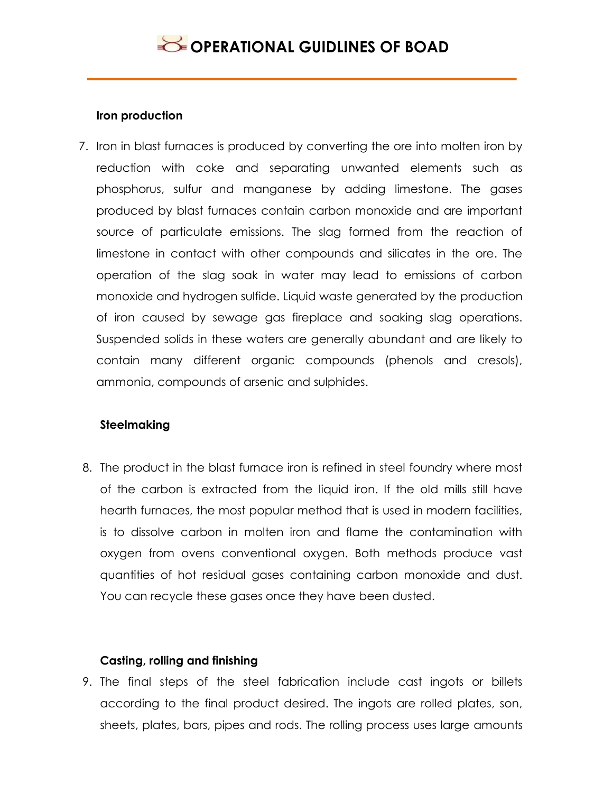### **Iron production**

7. Iron in blast furnaces is produced by converting the ore into molten iron by reduction with coke and separating unwanted elements such as phosphorus, sulfur and manganese by adding limestone. The gases produced by blast furnaces contain carbon monoxide and are important source of particulate emissions. The slag formed from the reaction of limestone in contact with other compounds and silicates in the ore. The operation of the slag soak in water may lead to emissions of carbon monoxide and hydrogen sulfide. Liquid waste generated by the production of iron caused by sewage gas fireplace and soaking slag operations. Suspended solids in these waters are generally abundant and are likely to contain many different organic compounds (phenols and cresols), ammonia, compounds of arsenic and sulphides.

## **Steelmaking**

8. The product in the blast furnace iron is refined in steel foundry where most of the carbon is extracted from the liquid iron. If the old mills still have hearth furnaces, the most popular method that is used in modern facilities, is to dissolve carbon in molten iron and flame the contamination with oxygen from ovens conventional oxygen. Both methods produce vast quantities of hot residual gases containing carbon monoxide and dust. You can recycle these gases once they have been dusted.

### **Casting, rolling and finishing**

9. The final steps of the steel fabrication include cast ingots or billets according to the final product desired. The ingots are rolled plates, son, sheets, plates, bars, pipes and rods. The rolling process uses large amounts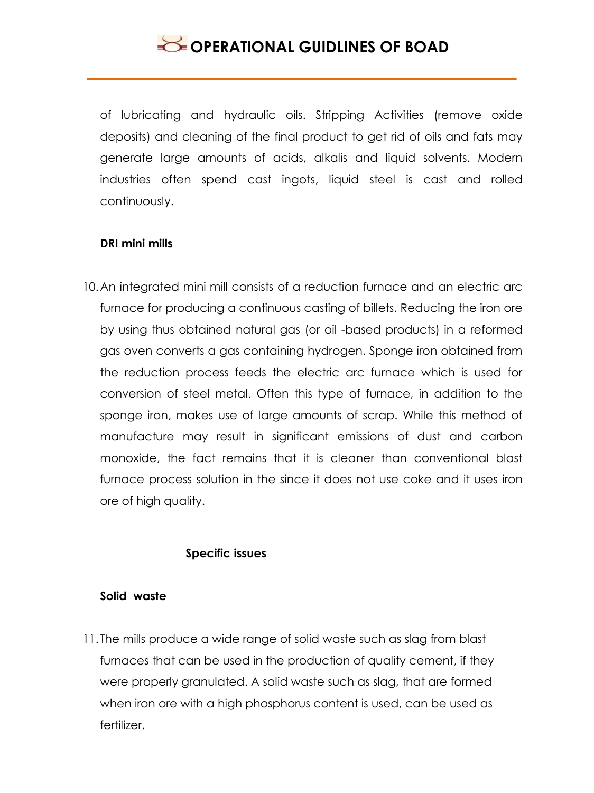

of lubricating and hydraulic oils. Stripping Activities (remove oxide deposits) and cleaning of the final product to get rid of oils and fats may generate large amounts of acids, alkalis and liquid solvents. Modern industries often spend cast ingots, liquid steel is cast and rolled continuously.

#### **DRI mini mills**

10.An integrated mini mill consists of a reduction furnace and an electric arc furnace for producing a continuous casting of billets. Reducing the iron ore by using thus obtained natural gas (or oil -based products) in a reformed gas oven converts a gas containing hydrogen. Sponge iron obtained from the reduction process feeds the electric arc furnace which is used for conversion of steel metal. Often this type of furnace, in addition to the sponge iron, makes use of large amounts of scrap. While this method of manufacture may result in significant emissions of dust and carbon monoxide, the fact remains that it is cleaner than conventional blast furnace process solution in the since it does not use coke and it uses iron ore of high quality.

#### **Specific issues**

#### **Solid waste**

11. The mills produce a wide range of solid waste such as slag from blast furnaces that can be used in the production of quality cement, if they were properly granulated. A solid waste such as slag, that are formed when iron ore with a high phosphorus content is used, can be used as fertilizer.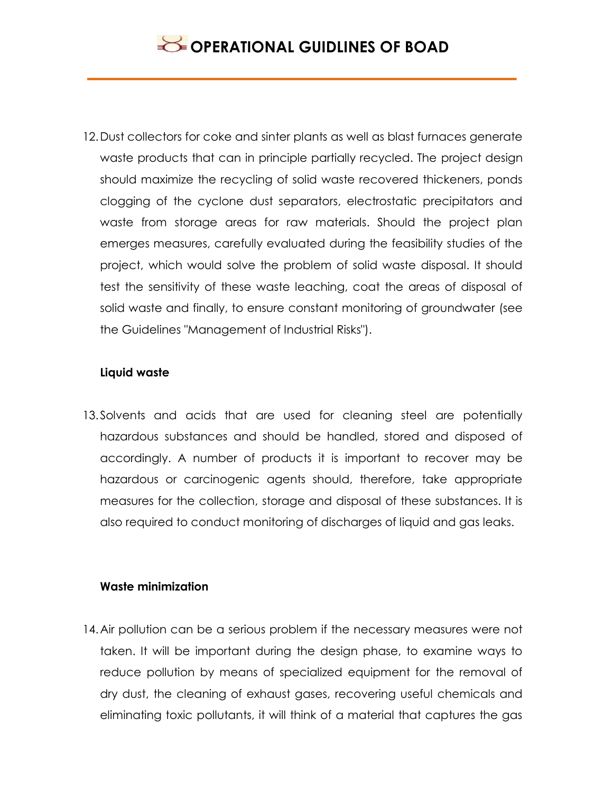12.Dust collectors for coke and sinter plants as well as blast furnaces generate waste products that can in principle partially recycled. The project design should maximize the recycling of solid waste recovered thickeners, ponds clogging of the cyclone dust separators, electrostatic precipitators and waste from storage areas for raw materials. Should the project plan emerges measures, carefully evaluated during the feasibility studies of the project, which would solve the problem of solid waste disposal. It should test the sensitivity of these waste leaching, coat the areas of disposal of solid waste and finally, to ensure constant monitoring of groundwater (see the Guidelines "Management of Industrial Risks").

### **Liquid waste**

13.Solvents and acids that are used for cleaning steel are potentially hazardous substances and should be handled, stored and disposed of accordingly. A number of products it is important to recover may be hazardous or carcinogenic agents should, therefore, take appropriate measures for the collection, storage and disposal of these substances. It is also required to conduct monitoring of discharges of liquid and gas leaks.

### **Waste minimization**

14.Air pollution can be a serious problem if the necessary measures were not taken. It will be important during the design phase, to examine ways to reduce pollution by means of specialized equipment for the removal of dry dust, the cleaning of exhaust gases, recovering useful chemicals and eliminating toxic pollutants, it will think of a material that captures the gas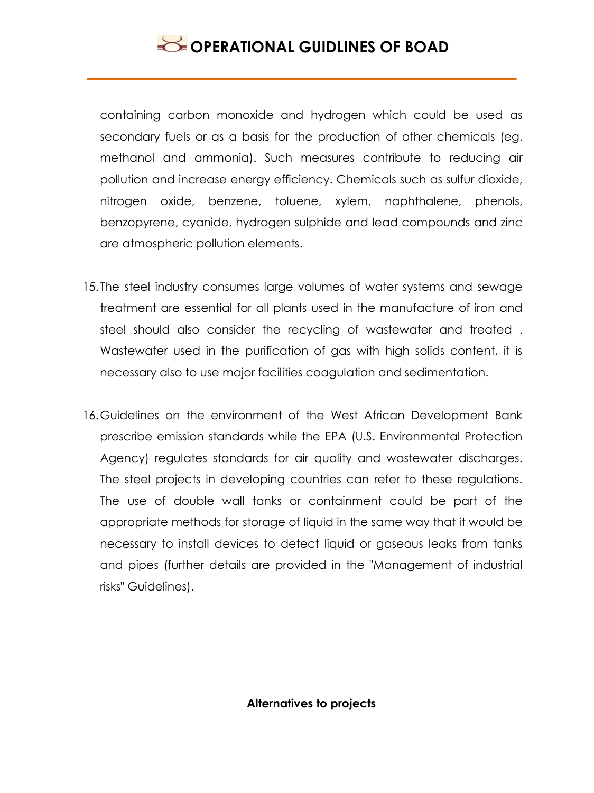containing carbon monoxide and hydrogen which could be used as secondary fuels or as a basis for the production of other chemicals (eg. methanol and ammonia). Such measures contribute to reducing air pollution and increase energy efficiency. Chemicals such as sulfur dioxide, nitrogen oxide, benzene, toluene, xylem, naphthalene, phenols, benzopyrene, cyanide, hydrogen sulphide and lead compounds and zinc are atmospheric pollution elements.

- 15. The steel industry consumes large volumes of water systems and sewage treatment are essential for all plants used in the manufacture of iron and steel should also consider the recycling of wastewater and treated . Wastewater used in the purification of gas with high solids content, it is necessary also to use major facilities coagulation and sedimentation.
- 16.Guidelines on the environment of the West African Development Bank prescribe emission standards while the EPA (U.S. Environmental Protection Agency) regulates standards for air quality and wastewater discharges. The steel projects in developing countries can refer to these regulations. The use of double wall tanks or containment could be part of the appropriate methods for storage of liquid in the same way that it would be necessary to install devices to detect liquid or gaseous leaks from tanks and pipes (further details are provided in the "Management of industrial risks" Guidelines).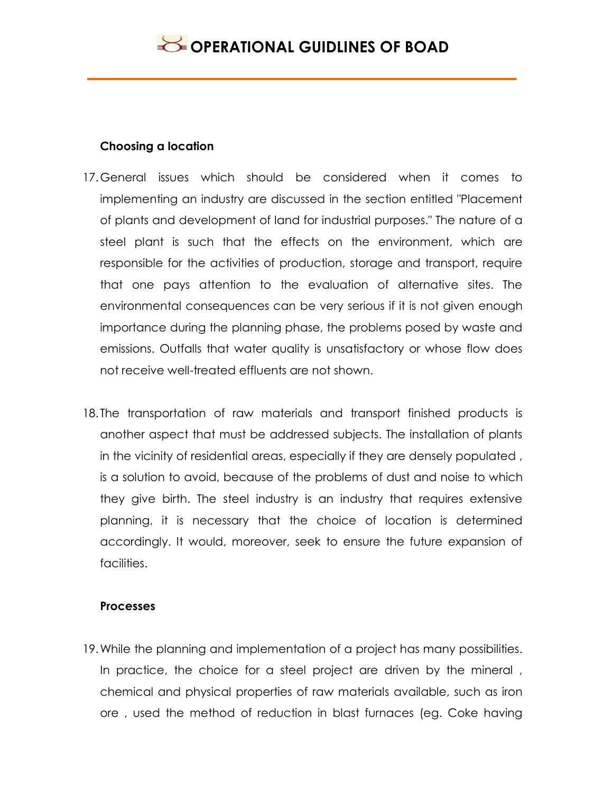

#### **Choosing a location**

- 17.General issues which should be considered when it comes to implementing an industry are discussed in the section entitled "Placement of plants and development of land for industrial purposes." The nature of a steel plant is such that the effects on the environment, which are responsible for the activities of production, storage and transport, require that one pays attention to the evaluation of alternative sites. The environmental consequences can be very serious if it is not given enough importance during the planning phase, the problems posed by waste and emissions. Outfalls that water quality is unsatisfactory or whose flow does not receive well-treated effluents are not shown.
- 18. The transportation of raw materials and transport finished products is another aspect that must be addressed subjects. The installation of plants in the vicinity of residential areas, especially if they are densely populated , is a solution to avoid, because of the problems of dust and noise to which they give birth. The steel industry is an industry that requires extensive planning, it is necessary that the choice of location is determined accordingly. It would, moreover, seek to ensure the future expansion of facilities.

#### **Processes**

19.While the planning and implementation of a project has many possibilities. In practice, the choice for a steel project are driven by the mineral , chemical and physical properties of raw materials available, such as iron ore , used the method of reduction in blast furnaces (eg. Coke having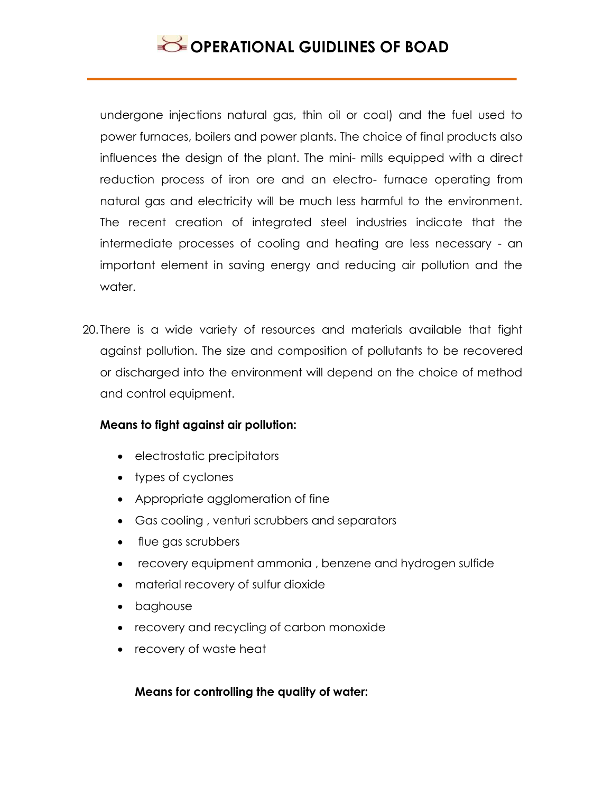undergone injections natural gas, thin oil or coal) and the fuel used to power furnaces, boilers and power plants. The choice of final products also influences the design of the plant. The mini- mills equipped with a direct reduction process of iron ore and an electro- furnace operating from natural gas and electricity will be much less harmful to the environment. The recent creation of integrated steel industries indicate that the intermediate processes of cooling and heating are less necessary - an important element in saving energy and reducing air pollution and the water.

20. There is a wide variety of resources and materials available that fight against pollution. The size and composition of pollutants to be recovered or discharged into the environment will depend on the choice of method and control equipment.

### **Means to fight against air pollution:**

- electrostatic precipitators
- types of cyclones
- Appropriate agglomeration of fine
- Gas cooling , venturi scrubbers and separators
- flue gas scrubbers
- recovery equipment ammonia, benzene and hydrogen sulfide
- material recovery of sulfur dioxide
- baghouse
- recovery and recycling of carbon monoxide
- recovery of waste heat

### **Means for controlling the quality of water:**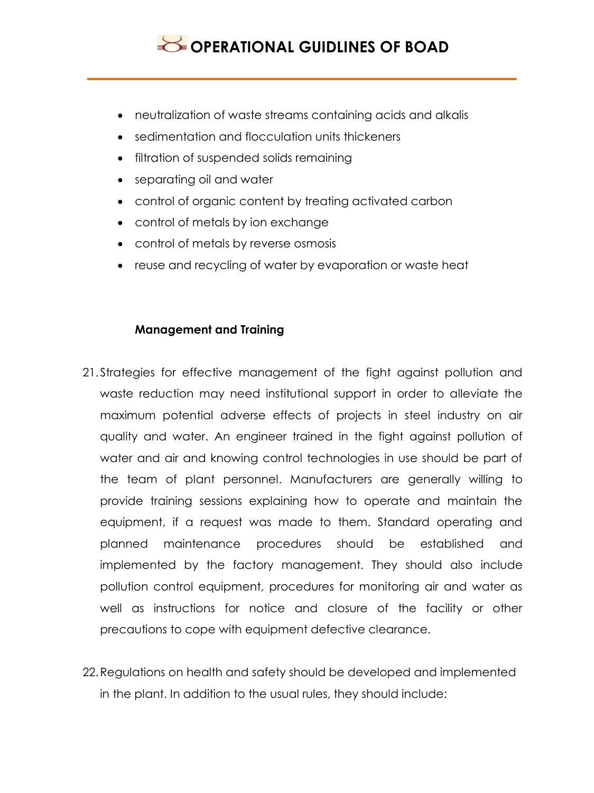

- neutralization of waste streams containing acids and alkalis
- sedimentation and flocculation units thickeners
- filtration of suspended solids remaining
- separating oil and water
- control of organic content by treating activated carbon
- control of metals by ion exchange
- control of metals by reverse osmosis
- reuse and recycling of water by evaporation or waste heat

#### **Management and Training**

- 21.Strategies for effective management of the fight against pollution and waste reduction may need institutional support in order to alleviate the maximum potential adverse effects of projects in steel industry on air quality and water. An engineer trained in the fight against pollution of water and air and knowing control technologies in use should be part of the team of plant personnel. Manufacturers are generally willing to provide training sessions explaining how to operate and maintain the equipment, if a request was made to them. Standard operating and planned maintenance procedures should be established and implemented by the factory management. They should also include pollution control equipment, procedures for monitoring air and water as well as instructions for notice and closure of the facility or other precautions to cope with equipment defective clearance.
- 22.Regulations on health and safety should be developed and implemented in the plant. In addition to the usual rules, they should include: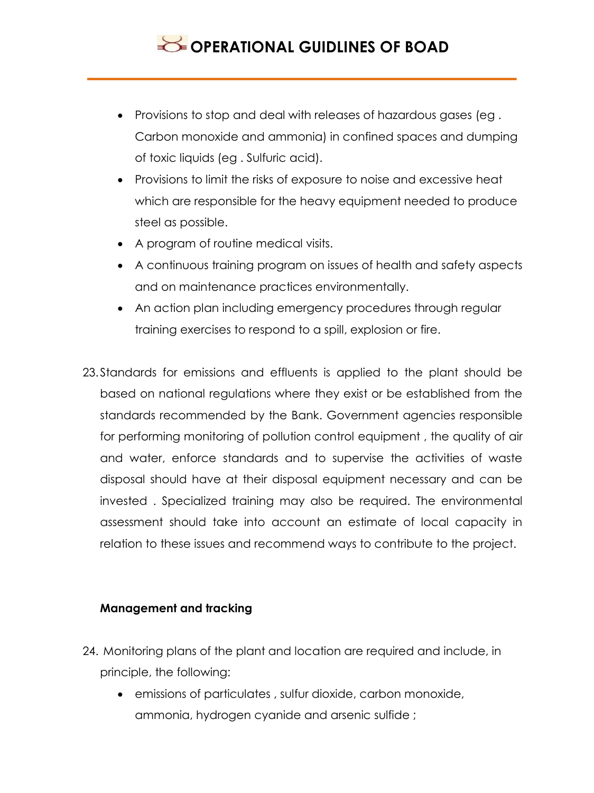- Provisions to stop and deal with releases of hazardous gases (eg . Carbon monoxide and ammonia) in confined spaces and dumping of toxic liquids (eg . Sulfuric acid).
- Provisions to limit the risks of exposure to noise and excessive heat which are responsible for the heavy equipment needed to produce steel as possible.
- A program of routine medical visits.
- A continuous training program on issues of health and safety aspects and on maintenance practices environmentally.
- An action plan including emergency procedures through regular training exercises to respond to a spill, explosion or fire.
- 23.Standards for emissions and effluents is applied to the plant should be based on national regulations where they exist or be established from the standards recommended by the Bank. Government agencies responsible for performing monitoring of pollution control equipment , the quality of air and water, enforce standards and to supervise the activities of waste disposal should have at their disposal equipment necessary and can be invested . Specialized training may also be required. The environmental assessment should take into account an estimate of local capacity in relation to these issues and recommend ways to contribute to the project.

### **Management and tracking**

- 24. Monitoring plans of the plant and location are required and include, in principle, the following:
	- emissions of particulates , sulfur dioxide, carbon monoxide, ammonia, hydrogen cyanide and arsenic sulfide ;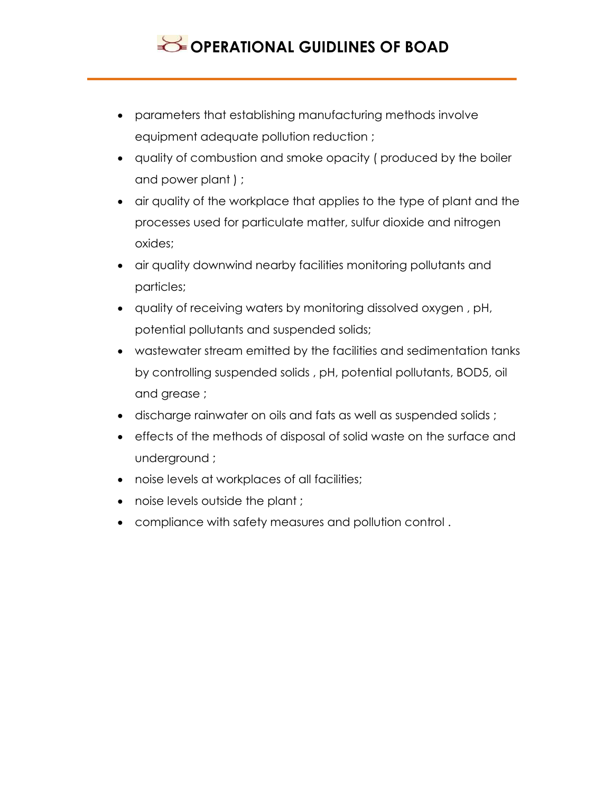

- parameters that establishing manufacturing methods involve equipment adequate pollution reduction ;
- quality of combustion and smoke opacity ( produced by the boiler and power plant ) ;
- air quality of the workplace that applies to the type of plant and the processes used for particulate matter, sulfur dioxide and nitrogen oxides;
- air quality downwind nearby facilities monitoring pollutants and particles;
- quality of receiving waters by monitoring dissolved oxygen , pH, potential pollutants and suspended solids;
- wastewater stream emitted by the facilities and sedimentation tanks by controlling suspended solids , pH, potential pollutants, BOD5, oil and grease ;
- discharge rainwater on oils and fats as well as suspended solids ;
- effects of the methods of disposal of solid waste on the surface and underground ;
- noise levels at workplaces of all facilities;
- noise levels outside the plant ;
- compliance with safety measures and pollution control .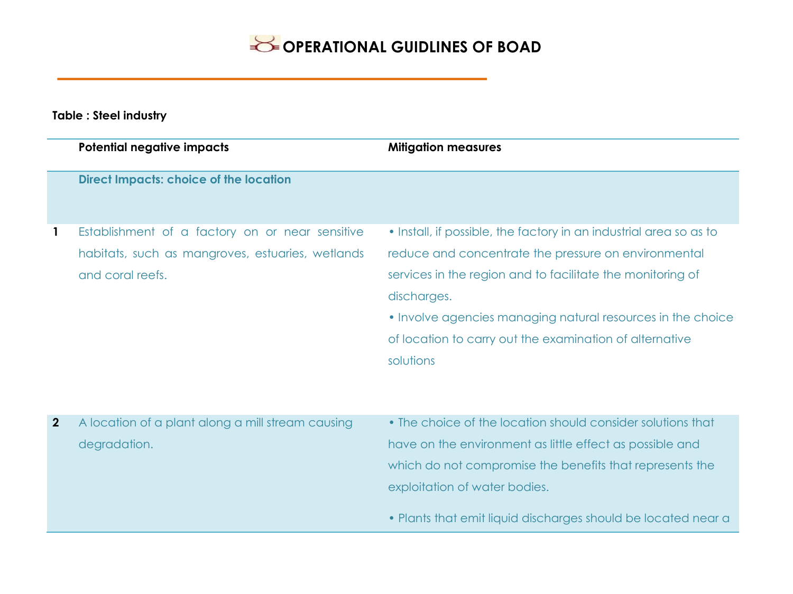**Table : Steel industry**

|                | <b>Potential negative impacts</b>                                                                                       | <b>Mitigation measures</b>                                                                                                                                                                                                                                                                                                                     |
|----------------|-------------------------------------------------------------------------------------------------------------------------|------------------------------------------------------------------------------------------------------------------------------------------------------------------------------------------------------------------------------------------------------------------------------------------------------------------------------------------------|
|                | <b>Direct Impacts: choice of the location</b>                                                                           |                                                                                                                                                                                                                                                                                                                                                |
| $\mathbf{1}$   | Establishment of a factory on or near sensitive<br>habitats, such as mangroves, estuaries, wetlands<br>and coral reefs. | • Install, if possible, the factory in an industrial area so as to<br>reduce and concentrate the pressure on environmental<br>services in the region and to facilitate the monitoring of<br>discharges.<br>• Involve agencies managing natural resources in the choice<br>of location to carry out the examination of alternative<br>solutions |
| $\overline{2}$ | A location of a plant along a mill stream causing<br>degradation.                                                       | • The choice of the location should consider solutions that<br>have on the environment as little effect as possible and<br>which do not compromise the benefits that represents the<br>exploitation of water bodies.<br>• Plants that emit liquid discharges should be located near a                                                          |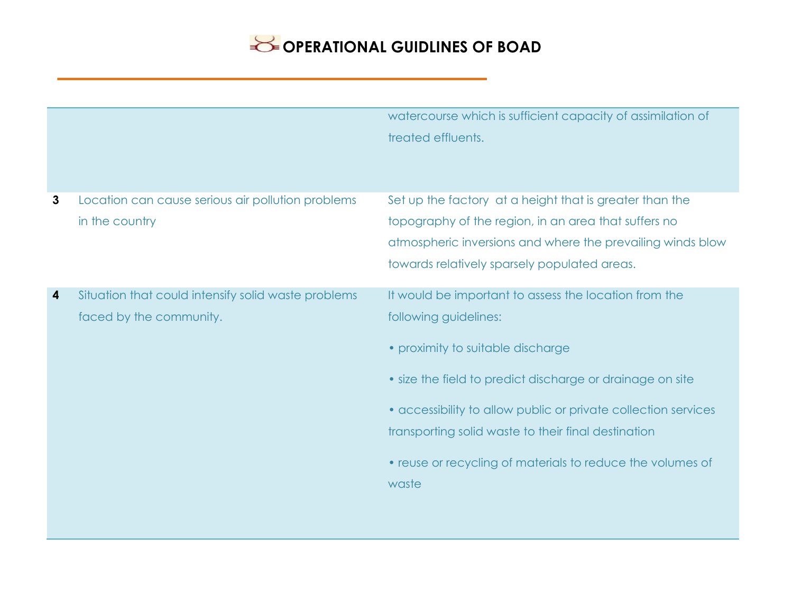|              |                                                                                | watercourse which is sufficient capacity of assimilation of<br>treated effluents.                                                                                                                                                                                                                                                                                                |
|--------------|--------------------------------------------------------------------------------|----------------------------------------------------------------------------------------------------------------------------------------------------------------------------------------------------------------------------------------------------------------------------------------------------------------------------------------------------------------------------------|
| $\mathbf{3}$ | Location can cause serious air pollution problems<br>in the country            | Set up the factory at a height that is greater than the<br>topography of the region, in an area that suffers no<br>atmospheric inversions and where the prevailing winds blow<br>towards relatively sparsely populated areas.                                                                                                                                                    |
| 4            | Situation that could intensify solid waste problems<br>faced by the community. | It would be important to assess the location from the<br>following guidelines:<br>• proximity to suitable discharge<br>• size the field to predict discharge or drainage on site<br>• accessibility to allow public or private collection services<br>transporting solid waste to their final destination<br>• reuse or recycling of materials to reduce the volumes of<br>waste |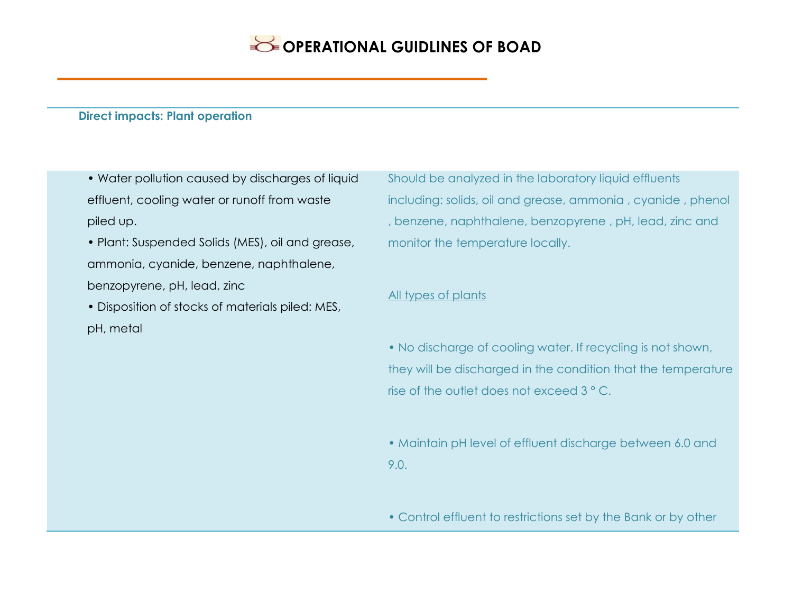#### **Direct impacts: Plant operation**

- Water pollution caused by discharges of liquid effluent, cooling water or runoff from waste piled up.
- Plant: Suspended Solids (MES), oil and grease, ammonia, cyanide, benzene, naphthalene, benzopyrene, pH, lead, zinc
- Disposition of stocks of materials piled: MES, pH, metal

Should be analyzed in the laboratory liquid effluents including: solids, oil and grease, ammonia , cyanide , phenol , benzene, naphthalene, benzopyrene , pH, lead, zinc and monitor the temperature locally.

#### All types of plants

• No discharge of cooling water. If recycling is not shown, they will be discharged in the condition that the temperature rise of the outlet does not exceed 3 ° C.

• Maintain pH level of effluent discharge between 6.0 and 9.0.

• Control effluent to restrictions set by the Bank or by other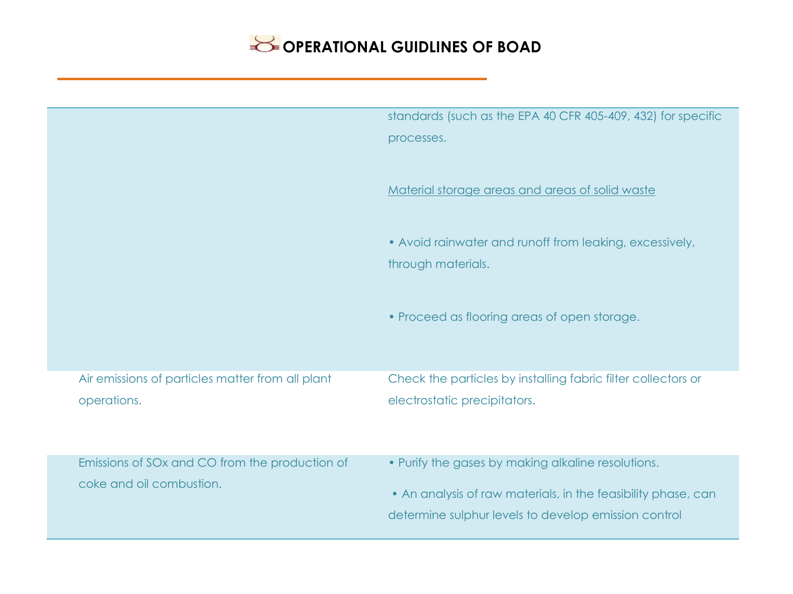|                                                  | standards (such as the EPA 40 CFR 405-409, 432) for specific                                                          |
|--------------------------------------------------|-----------------------------------------------------------------------------------------------------------------------|
|                                                  | processes.                                                                                                            |
|                                                  | Material storage areas and areas of solid waste                                                                       |
|                                                  | • Avoid rainwater and runoff from leaking, excessively,<br>through materials.                                         |
|                                                  | • Proceed as flooring areas of open storage.                                                                          |
| Air emissions of particles matter from all plant | Check the particles by installing fabric filter collectors or                                                         |
| operations.                                      | electrostatic precipitators.                                                                                          |
| Emissions of SOx and CO from the production of   | • Purify the gases by making alkaline resolutions.                                                                    |
| coke and oil combustion.                         | • An analysis of raw materials, in the feasibility phase, can<br>determine sulphur levels to develop emission control |
|                                                  |                                                                                                                       |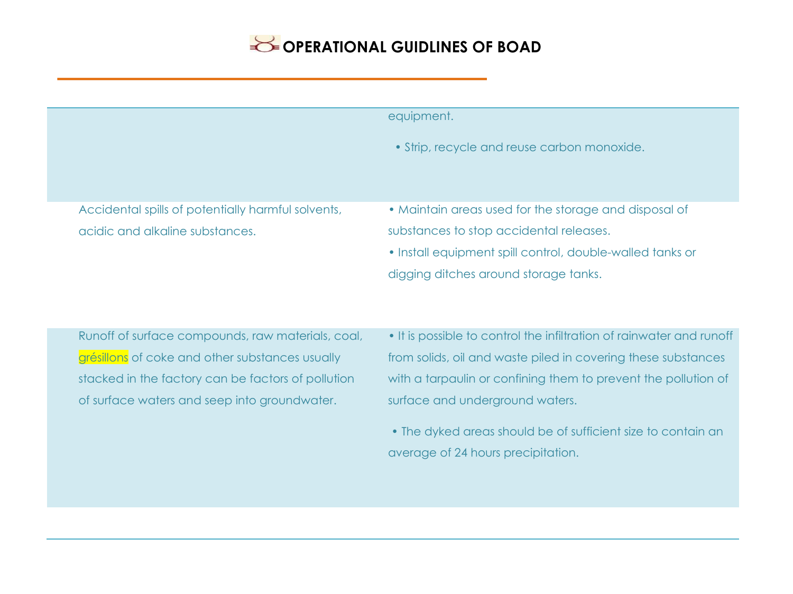|                                                    | equipment.                                                           |
|----------------------------------------------------|----------------------------------------------------------------------|
|                                                    | • Strip, recycle and reuse carbon monoxide.                          |
| Accidental spills of potentially harmful solvents, | • Maintain areas used for the storage and disposal of                |
| acidic and alkaline substances.                    | substances to stop accidental releases.                              |
|                                                    | • Install equipment spill control, double-walled tanks or            |
|                                                    | digging ditches around storage tanks.                                |
|                                                    |                                                                      |
| Runoff of surface compounds, raw materials, coal,  | • It is possible to control the infiltration of rainwater and runoff |
| grésillons of coke and other substances usually    | from solids, oil and waste piled in covering these substances        |
| stacked in the factory can be factors of pollution | with a tarpaulin or confining them to prevent the pollution of       |
| of surface waters and seep into groundwater.       | surface and underground waters.                                      |
|                                                    | • The dyked areas should be of sufficient size to contain an         |
|                                                    | average of 24 hours precipitation.                                   |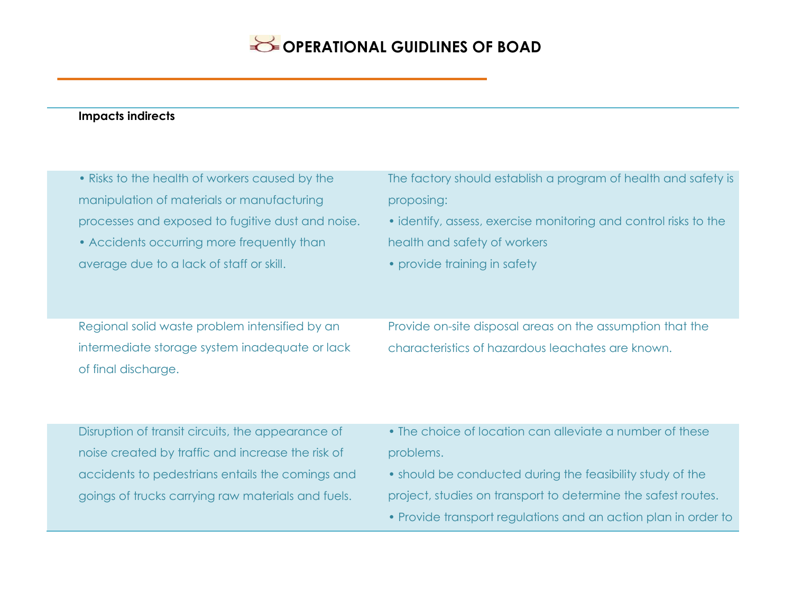### **Impacts indirects**

| • Risks to the health of workers caused by the                                                                          | The factory should establish a program of health and safety is                                                 |
|-------------------------------------------------------------------------------------------------------------------------|----------------------------------------------------------------------------------------------------------------|
| manipulation of materials or manufacturing                                                                              | proposing:                                                                                                     |
| processes and exposed to fugitive dust and noise.                                                                       | • identify, assess, exercise monitoring and control risks to the                                               |
| • Accidents occurring more frequently than                                                                              | health and safety of workers                                                                                   |
| average due to a lack of staff or skill.                                                                                | • provide training in safety                                                                                   |
| Regional solid waste problem intensified by an<br>intermediate storage system inadequate or lack<br>of final discharge. | Provide on-site disposal areas on the assumption that the<br>characteristics of hazardous leachates are known. |

Disruption of transit circuits, the appearance of noise created by traffic and increase the risk of accidents to pedestrians entails the comings and goings of trucks carrying raw materials and fuels.

- The choice of location can alleviate a number of these problems.
- should be conducted during the feasibility study of the project, studies on transport to determine the safest routes.
- Provide transport regulations and an action plan in order to